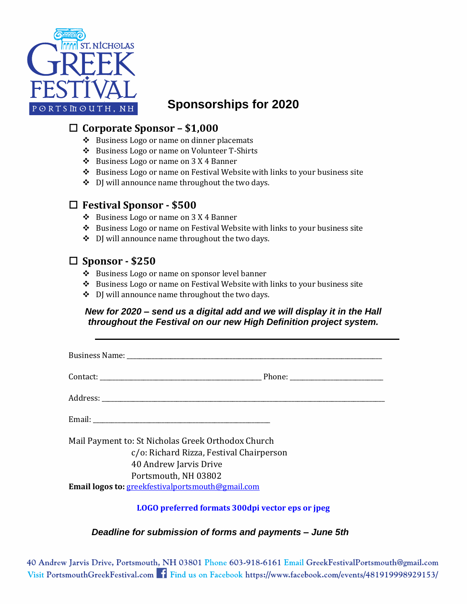

# **Sponsorships for 2020**

### **Corporate Sponsor – \$1,000**

- ❖ Business Logo or name on dinner placemats
- ❖ Business Logo or name on Volunteer T-Shirts
- ❖ Business Logo or name on 3 X 4 Banner
- ❖ Business Logo or name on Festival Website with links to your business site
- ❖ DJ will announce name throughout the two days.

## **Festival Sponsor - \$500**

- ❖ Business Logo or name on 3 X 4 Banner
- ❖ Business Logo or name on Festival Website with links to your business site
- ❖ DJ will announce name throughout the two days.

## **Sponsor - \$250**

- ❖ Business Logo or name on sponsor level banner
- ❖ Business Logo or name on Festival Website with links to your business site
- ❖ DJ will announce name throughout the two days.

#### *New for 2020 – send us a digital add and we will display it in the Hall throughout the Festival on our new High Definition project system.*

| Mail Payment to: St Nicholas Greek Orthodox Church                        |
|---------------------------------------------------------------------------|
| c/o: Richard Rizza, Festival Chairperson<br>40 Andrew Jarvis Drive        |
| Portsmouth, NH 03802<br>Email logos to: greekfestivalportsmouth@gmail.com |
| LOGO preferred formats 300dpi vector eps or jpeg                          |

#### *Deadline for submission of forms and payments – June 5th*

40 Andrew Jarvis Drive, Portsmouth, NH 03801 Phone 603-918-6161 Email GreekFestivalPortsmouth@gmail.com Visit PortsmouthGreekFestival.com f Find us on Facebook https://www.facebook.com/events/481919998929153/